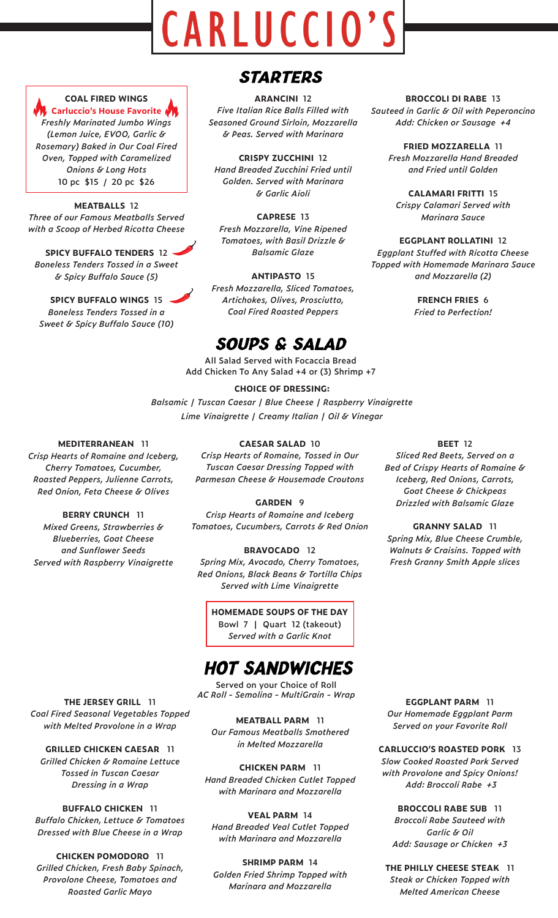# CARLUCCIO'S



#### **COAL FIRED WINGS**

*Carluccio's House Favorite Freshly Marinated Jumbo Wings (Lemon Juice, EVOO, Garlic & Rosemary) Baked in Our Coal Fired Oven, Topped with Caramelized Onions & Long Hots* **10 pc \$15 / 20 pc \$26**

**MEATBALLS 12** *Three of our Famous Meatballs Served with a Scoop of Herbed Ricotta Cheese* 

**SPICY BUFFALO TENDERS 12** *Boneless Tenders Tossed in a Sweet & Spicy Buffalo Sauce (5)*

#### **SPICY BUFFALO WINGS 15** *Boneless Tenders Tossed in a*

*Sweet & Spicy Buffalo Sauce (10)*

## **STARTERS**

**ARANCINI 12** *Five Italian Rice Balls Filled with Seasoned Ground Sirloin, Mozzarella & Peas. Served with Marinara* 

**CRISPY ZUCCHINI 12** *Hand Breaded Zucchini Fried until Golden. Served with Marinara & Garlic Aioli*

**CAPRESE 13** *Fresh Mozzarella, Vine Ripened Tomatoes, with Basil Drizzle & Balsamic Glaze*

**ANTIPASTO 15** *Fresh Mozzarella, Sliced Tomatoes, Artichokes, Olives, Prosciutto, Coal Fired Roasted Peppers*

## *SOUPS & SALAD*

**All Salad Served with Focaccia Bread Add Chicken To Any Salad +4 or (3) Shrimp +7**

#### **CHOICE OF DRESSING:**

*Balsamic | Tuscan Caesar | Blue Cheese | Raspberry Vinaigrette Lime Vinaigrette | Creamy Italian | Oil & Vinegar*

**CAESAR SALAD 10**

#### **MEDITERRANEAN 11**

*Crisp Hearts of Romaine, Tossed in Our Tuscan Caesar Dressing Topped with Parmesan Cheese & Housemade Croutons*

**GARDEN 9** *Crisp Hearts of Romaine and Iceberg* 

*Tomatoes, Cucumbers, Carrots & Red Onion*

#### **BRAVOCADO 12** *Spring Mix, Avocado, Cherry Tomatoes, Red Onions, Black Beans & Tortilla Chips Served with Lime Vinaigrette*

**HOMEMADE SOUPS OF THE DAY Bowl 7 | Quart 12 (takeout)** *Served with a Garlic Knot*

## **HOT SANDWICHES**

**Served on your Choice of Roll** *AC Roll - Semolina - MultiGrain - Wrap*

**MEATBALL PARM 11** *Our Famous Meatballs Smothered in Melted Mozzarella*

**CHICKEN PARM 11** *Hand Breaded Chicken Cutlet Topped with Marinara and Mozzarella*

**VEAL PARM 14** *Hand Breaded Veal Cutlet Topped with Marinara and Mozzarella*

**SHRIMP PARM 14** *Golden Fried Shrimp Topped with Marinara and Mozzarella*

#### **BROCCOLI DI RABE 13**

*Sauteed in Garlic & Oil with Peperoncino Add: Chicken or Sausage +4*

**FRIED MOZZARELLA 11** *Fresh Mozzarella Hand Breaded and Fried until Golden*

**CALAMARI FRITTI 15** *Crispy Calamari Served with Marinara Sauce*

**EGGPLANT ROLLATINI 12** *Eggplant Stuffed with Ricotta Cheese* 

*Topped with Homemade Marinara Sauce and Mozzarella (2)*

> **FRENCH FRIES 6** *Fried to Perfection!*

#### **BEET 12**

*Sliced Red Beets, Served on a Bed of Crispy Hearts of Romaine & Iceberg, Red Onions, Carrots, Goat Cheese & Chickpeas Drizzled with Balsamic Glaze*

#### **GRANNY SALAD 11**

*Spring Mix, Blue Cheese Crumble, Walnuts & Craisins. Topped with Fresh Granny Smith Apple slices*

**EGGPLANT PARM 11** *Our Homemade Eggplant Parm Served on your Favorite Roll*

**CARLUCCIO'S ROASTED PORK 13** *Slow Cooked Roasted Pork Served with Provolone and Spicy Onions! Add: Broccoli Rabe +3*

**BROCCOLI RABE SUB 11** *Broccoli Rabe Sauteed with Garlic & Oil Add: Sausage or Chicken +3*

**THE PHILLY CHEESE STEAK 11** *Steak or Chicken Topped with Melted American Cheese*

**THE JERSEY GRILL 11** *Coal Fired Seasonal Vegetables Topped with Melted Provolone in a Wrap*

**GRILLED CHICKEN CAESAR 11** *Grilled Chicken & Romaine Lettuce Tossed in Tuscan Caesar Dressing in a Wrap*

**BUFFALO CHICKEN 11** *Buffalo Chicken, Lettuce & Tomatoes Dressed with Blue Cheese in a Wrap*

**CHICKEN POMODORO 11** *Grilled Chicken, Fresh Baby Spinach, Provolone Cheese, Tomatoes and Roasted Garlic Mayo*

# *Red Onion, Feta Cheese & Olives*

*Crisp Hearts of Romaine and Iceberg, Cherry Tomatoes, Cucumber, Roasted Peppers, Julienne Carrots,* 

**BERRY CRUNCH 11** *Mixed Greens, Strawberries & Blueberries, Goat Cheese and Sunflower Seeds Served with Raspberry Vinaigrette*